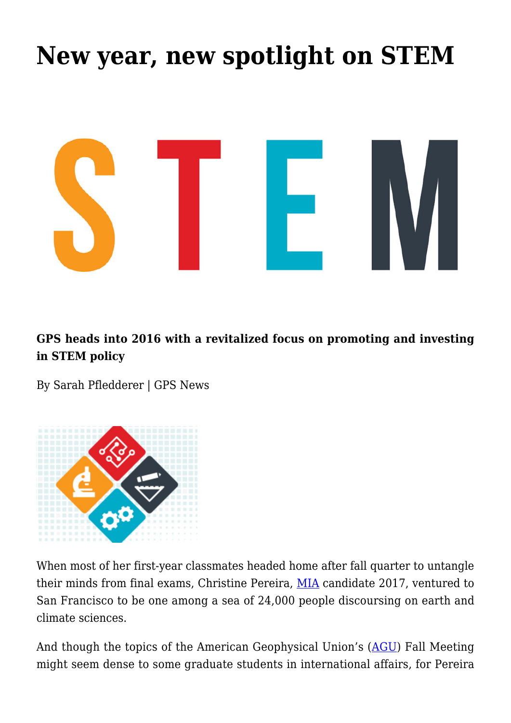## **[New year, new spotlight on STEM](https://gpsnews.ucsd.edu/new-year-new-spotlight-on-stem/)**



**GPS heads into 2016 with a revitalized focus on promoting and investing in STEM policy**

By Sarah Pfledderer | GPS News



When most of her first-year classmates headed home after fall quarter to untangle their minds from final exams, Christine Pereira, [MIA](https://gps.ucsd.edu/academics/mia.html) candidate 2017, ventured to San Francisco to be one among a sea of 24,000 people discoursing on earth and climate sciences.

And though the topics of the American Geophysical Union's [\(AGU\)](https://sites.agu.org/) Fall Meeting might seem dense to some graduate students in international affairs, for Pereira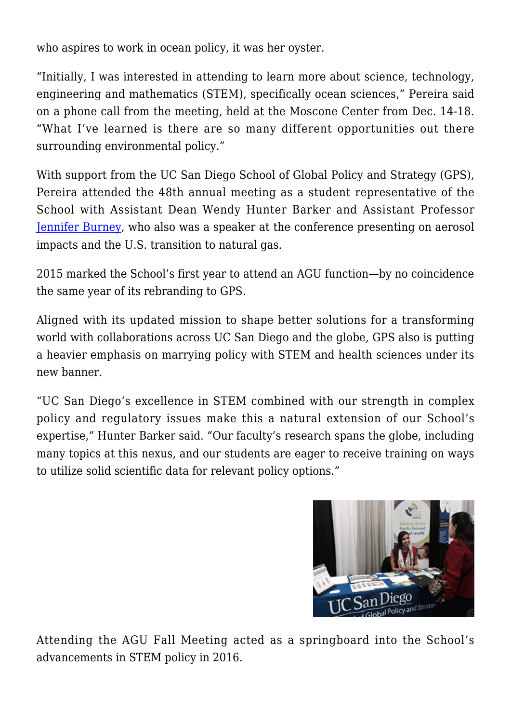who aspires to work in ocean policy, it was her oyster.

"Initially, I was interested in attending to learn more about science, technology, engineering and mathematics (STEM), specifically ocean sciences," Pereira said on a phone call from the meeting, held at the Moscone Center from Dec. 14-18. "What I've learned is there are so many different opportunities out there surrounding environmental policy."

With support from the UC San Diego School of Global Policy and Strategy (GPS), Pereira attended the 48th annual meeting as a student representative of the School with Assistant Dean Wendy Hunter Barker and Assistant Professor [Jennifer Burney](https://gps.ucsd.edu/faculty-directory/jennifer-burney.html), who also was a speaker at the conference presenting on aerosol impacts and the U.S. transition to natural gas.

2015 marked the School's first year to attend an AGU function—by no coincidence the same year of its rebranding to GPS.

Aligned with its updated mission to shape better solutions for a transforming world with collaborations across UC San Diego and the globe, GPS also is putting a heavier emphasis on marrying policy with STEM and health sciences under its new banner.

"UC San Diego's excellence in STEM combined with our strength in complex policy and regulatory issues make this a natural extension of our School's expertise," Hunter Barker said. "Our faculty's research spans the globe, including many topics at this nexus, and our students are eager to receive training on ways to utilize solid scientific data for relevant policy options."



Attending the AGU Fall Meeting acted as a springboard into the School's advancements in STEM policy in 2016.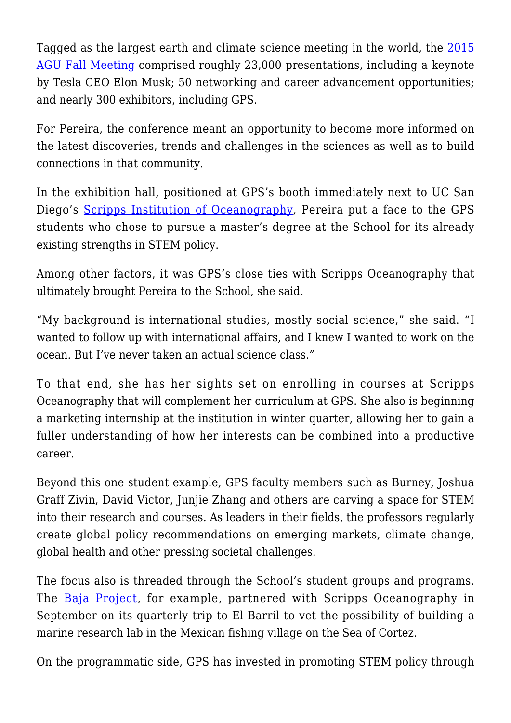Tagged as the largest earth and climate science meeting in the world, the [2015](http://fallmeeting.agu.org/2015/) [AGU Fall Meeting](http://fallmeeting.agu.org/2015/) comprised roughly 23,000 presentations, including a keynote by Tesla CEO Elon Musk; 50 networking and career advancement opportunities; and nearly 300 exhibitors, including GPS.

For Pereira, the conference meant an opportunity to become more informed on the latest discoveries, trends and challenges in the sciences as well as to build connections in that community.

In the exhibition hall, positioned at GPS's booth immediately next to UC San Diego's [Scripps Institution of Oceanography,](https://scripps.ucsd.edu/) Pereira put a face to the GPS students who chose to pursue a master's degree at the School for its already existing strengths in STEM policy.

Among other factors, it was GPS's close ties with Scripps Oceanography that ultimately brought Pereira to the School, she said.

"My background is international studies, mostly social science," she said. "I wanted to follow up with international affairs, and I knew I wanted to work on the ocean. But I've never taken an actual science class."

To that end, she has her sights set on enrolling in courses at Scripps Oceanography that will complement her curriculum at GPS. She also is beginning a marketing internship at the institution in winter quarter, allowing her to gain a fuller understanding of how her interests can be combined into a productive career.

Beyond this one student example, GPS faculty members such as Burney, Joshua Graff Zivin, David Victor, Junjie Zhang and others are carving a space for STEM into their research and courses. As leaders in their fields, the professors regularly create global policy recommendations on emerging markets, climate change, global health and other pressing societal challenges.

The focus also is threaded through the School's student groups and programs. The **Baja Project**, for example, partnered with Scripps Oceanography in September on its quarterly trip to El Barril to vet the possibility of building a marine research lab in the Mexican fishing village on the Sea of Cortez.

On the programmatic side, GPS has invested in promoting STEM policy through